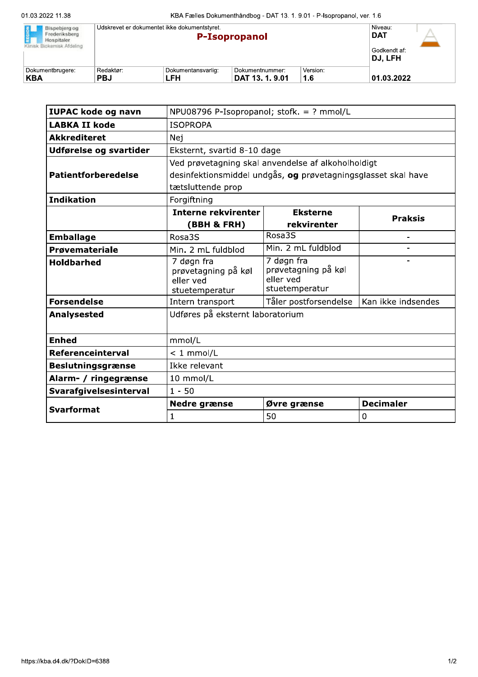| REGION<br>Bispebjerg og<br>Frederiksberg<br>Hospitaler.<br>Klinisk Biokemisk Afdeling | Udskrevet er dokumentet ikke dokumentstyret. | Niveau:<br><b>DAT</b><br>Godkendt af:<br>DJ. LFH |                                  |                 |            |  |
|---------------------------------------------------------------------------------------|----------------------------------------------|--------------------------------------------------|----------------------------------|-----------------|------------|--|
| Dokumentbrugere:<br><b>KBA</b>                                                        | Redaktør:<br><b>PBJ</b>                      | Dokumentansvarlig:<br>LFH                        | Dokumentnummer:<br>DAT 13.1.9.01 | Version:<br>1.6 | 01.03.2022 |  |

| <b>IUPAC kode og navn</b> | NPU08796 P-Isopropanol; stofk. = ? mmol/L                                                                                                |                                                                  |                    |  |  |
|---------------------------|------------------------------------------------------------------------------------------------------------------------------------------|------------------------------------------------------------------|--------------------|--|--|
| <b>LABKA II kode</b>      | <b>ISOPROPA</b>                                                                                                                          |                                                                  |                    |  |  |
| <b>Akkrediteret</b>       | Nej                                                                                                                                      |                                                                  |                    |  |  |
| Udførelse og svartider    | Eksternt, svartid 8-10 dage                                                                                                              |                                                                  |                    |  |  |
| Patientforberedelse       | Ved prøvetagning skal anvendelse af alkoholholdigt<br>desinfektionsmiddel undgås, og prøvetagningsglasset skal have<br>tætsluttende prop |                                                                  |                    |  |  |
| <b>Indikation</b>         | Forgiftning                                                                                                                              |                                                                  |                    |  |  |
|                           | <b>Interne rekvirenter</b><br>(BBH & FRH)                                                                                                | <b>Eksterne</b><br>rekvirenter                                   | <b>Praksis</b>     |  |  |
| <b>Emballage</b>          | Rosa3S                                                                                                                                   | Rosa3S                                                           | -                  |  |  |
| Prøvemateriale            | Min. 2 mL fuldblod                                                                                                                       | Min. 2 mL fuldblod                                               |                    |  |  |
| <b>Holdbarhed</b>         | 7 døgn fra<br>prøvetagning på køl<br>eller ved<br>stuetemperatur                                                                         | 7 døgn fra<br>prøvetagning på køl<br>eller ved<br>stuetemperatur |                    |  |  |
| <b>Forsendelse</b>        | Intern transport                                                                                                                         | Tåler postforsendelse                                            | Kan ikke indsendes |  |  |
| <b>Analysested</b>        | Udføres på eksternt laboratorium                                                                                                         |                                                                  |                    |  |  |
| <b>Enhed</b>              | mmol/L                                                                                                                                   |                                                                  |                    |  |  |
| Referenceinterval         | $<$ 1 mmol/L                                                                                                                             |                                                                  |                    |  |  |
| <b>Beslutningsgrænse</b>  | Ikke relevant                                                                                                                            |                                                                  |                    |  |  |
| Alarm- / ringegrænse      | 10 mmol/L                                                                                                                                |                                                                  |                    |  |  |
| Svarafgivelsesinterval    | $1 - 50$                                                                                                                                 |                                                                  |                    |  |  |
| <b>Svarformat</b>         | <b>Nedre grænse</b>                                                                                                                      | Øvre grænse                                                      | <b>Decimaler</b>   |  |  |
|                           | 1                                                                                                                                        | 50                                                               | 0                  |  |  |